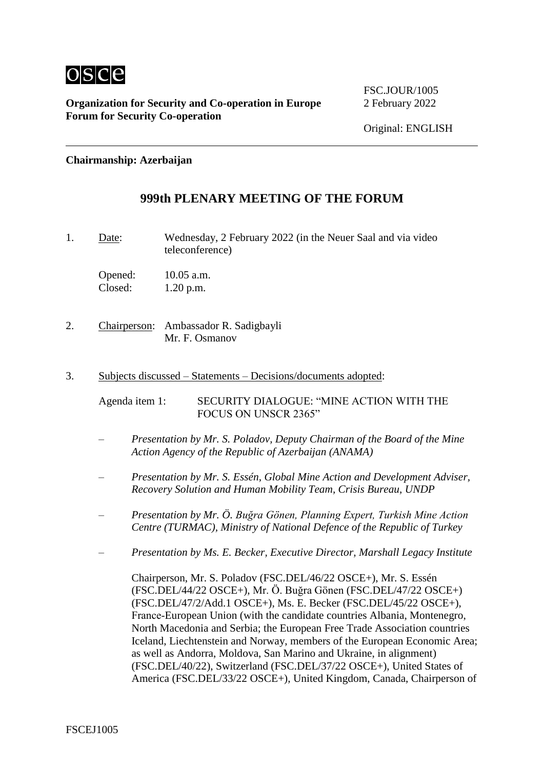

FSC.JOUR/1005

### **Chairmanship: Azerbaijan**

### **999th PLENARY MEETING OF THE FORUM**

1. Date: Wednesday, 2 February 2022 (in the Neuer Saal and via video teleconference)

Opened: 10.05 a.m. Closed: 1.20 p.m.

- 2. Chairperson: Ambassador R. Sadigbayli Mr. F. Osmanov
- 3. Subjects discussed Statements Decisions/documents adopted:

Agenda item 1: SECURITY DIALOGUE: "MINE ACTION WITH THE FOCUS ON UNSCR 2365"

- *Presentation by Mr. S. Poladov, Deputy Chairman of the Board of the Mine Action Agency of the Republic of Azerbaijan (ANAMA)*
- *Presentation by Mr. S. Essén, Global Mine Action and Development Adviser, Recovery Solution and Human Mobility Team, Crisis Bureau, UNDP*
- *Presentation by Mr. Ö. Buğra Gönen, Planning Expert, Turkish Mine Action Centre (TURMAC), Ministry of National Defence of the Republic of Turkey*
- *Presentation by Ms. E. Becker, Executive Director, Marshall Legacy Institute*

Chairperson, Mr. S. Poladov (FSC.DEL/46/22 OSCE+), Mr. S. Essén (FSC.DEL/44/22 OSCE+), Mr. Ö. Buğra Gönen (FSC.DEL/47/22 OSCE+) (FSC.DEL/47/2/Add.1 OSCE+), Ms. E. Becker (FSC.DEL/45/22 OSCE+), France-European Union (with the candidate countries Albania, Montenegro, North Macedonia and Serbia; the European Free Trade Association countries Iceland, Liechtenstein and Norway, members of the European Economic Area; as well as Andorra, Moldova, San Marino and Ukraine, in alignment) (FSC.DEL/40/22), Switzerland (FSC.DEL/37/22 OSCE+), United States of America (FSC.DEL/33/22 OSCE+), United Kingdom, Canada, Chairperson of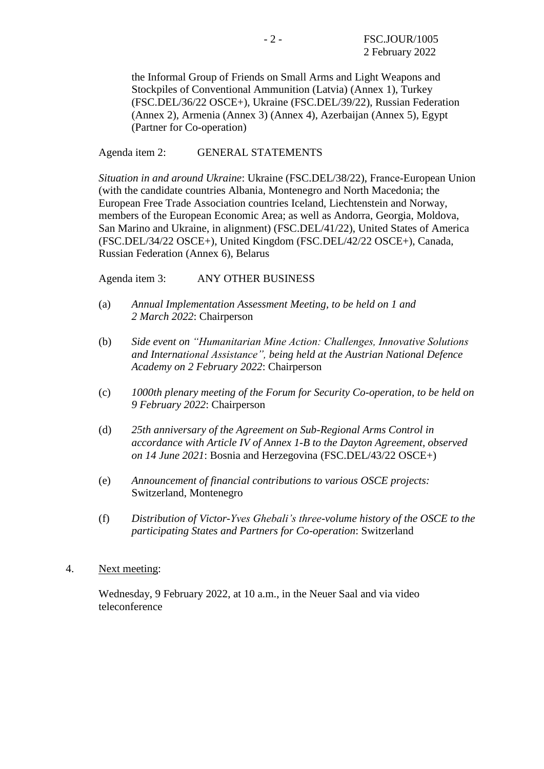the Informal Group of Friends on Small Arms and Light Weapons and Stockpiles of Conventional Ammunition (Latvia) (Annex 1), Turkey (FSC.DEL/36/22 OSCE+), Ukraine (FSC.DEL/39/22), Russian Federation (Annex 2), Armenia (Annex 3) (Annex 4), Azerbaijan (Annex 5), Egypt (Partner for Co-operation)

Agenda item 2: GENERAL STATEMENTS

*Situation in and around Ukraine*: Ukraine (FSC.DEL/38/22), France‑European Union (with the candidate countries Albania, Montenegro and North Macedonia; the European Free Trade Association countries Iceland, Liechtenstein and Norway, members of the European Economic Area; as well as Andorra, Georgia, Moldova, San Marino and Ukraine, in alignment) (FSC.DEL/41/22), United States of America (FSC.DEL/34/22 OSCE+), United Kingdom (FSC.DEL/42/22 OSCE+), Canada, Russian Federation (Annex 6), Belarus

Agenda item 3: ANY OTHER BUSINESS

- (a) *Annual Implementation Assessment Meeting, to be held on 1 and 2 March 2022*: Chairperson
- (b) *Side event on "Humanitarian Mine Action: Challenges, Innovative Solutions and International Assistance", being held at the Austrian National Defence Academy on 2 February 2022*: Chairperson
- (c) *1000th plenary meeting of the Forum for Security Co-operation, to be held on 9 February 2022*: Chairperson
- (d) *25th anniversary of the Agreement on Sub-Regional Arms Control in accordance with Article IV of Annex 1-B to the Dayton Agreement, observed on 14 June 2021*: Bosnia and Herzegovina (FSC.DEL/43/22 OSCE+)
- (e) *Announcement of financial contributions to various OSCE projects:* Switzerland, Montenegro
- (f) *Distribution of Victor-Yves Ghebali's three-volume history of the OSCE to the participating States and Partners for Co-operation*: Switzerland
- 4. Next meeting:

Wednesday, 9 February 2022, at 10 a.m., in the Neuer Saal and via video teleconference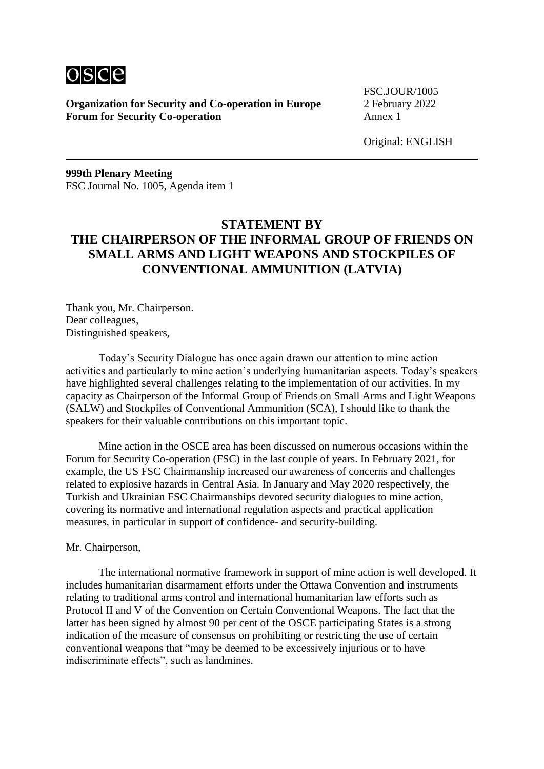

FSC.JOUR/1005

Original: ENGLISH

**999th Plenary Meeting** FSC Journal No. 1005, Agenda item 1

# **STATEMENT BY THE CHAIRPERSON OF THE INFORMAL GROUP OF FRIENDS ON SMALL ARMS AND LIGHT WEAPONS AND STOCKPILES OF CONVENTIONAL AMMUNITION (LATVIA)**

Thank you, Mr. Chairperson. Dear colleagues, Distinguished speakers,

Today's Security Dialogue has once again drawn our attention to mine action activities and particularly to mine action's underlying humanitarian aspects. Today's speakers have highlighted several challenges relating to the implementation of our activities. In my capacity as Chairperson of the Informal Group of Friends on Small Arms and Light Weapons (SALW) and Stockpiles of Conventional Ammunition (SCA), I should like to thank the speakers for their valuable contributions on this important topic.

Mine action in the OSCE area has been discussed on numerous occasions within the Forum for Security Co-operation (FSC) in the last couple of years. In February 2021, for example, the US FSC Chairmanship increased our awareness of concerns and challenges related to explosive hazards in Central Asia. In January and May 2020 respectively, the Turkish and Ukrainian FSC Chairmanships devoted security dialogues to mine action, covering its normative and international regulation aspects and practical application measures, in particular in support of confidence- and security-building.

#### Mr. Chairperson,

The international normative framework in support of mine action is well developed. It includes humanitarian disarmament efforts under the Ottawa Convention and instruments relating to traditional arms control and international humanitarian law efforts such as Protocol II and V of the Convention on Certain Conventional Weapons. The fact that the latter has been signed by almost 90 per cent of the OSCE participating States is a strong indication of the measure of consensus on prohibiting or restricting the use of certain conventional weapons that "may be deemed to be excessively injurious or to have indiscriminate effects", such as landmines.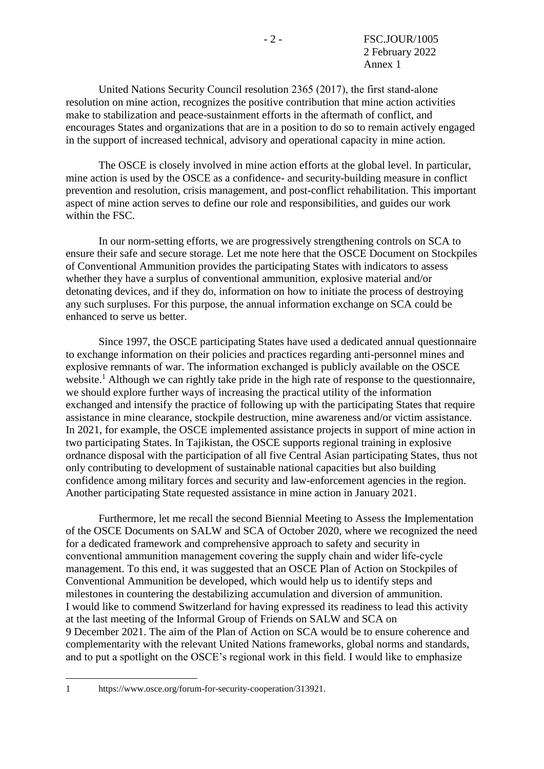United Nations Security Council resolution 2365 (2017), the first stand‑alone resolution on mine action, recognizes the positive contribution that mine action activities make to stabilization and peace-sustainment efforts in the aftermath of conflict, and encourages States and organizations that are in a position to do so to remain actively engaged in the support of increased technical, advisory and operational capacity in mine action.

The OSCE is closely involved in mine action efforts at the global level. In particular, mine action is used by the OSCE as a confidence- and security-building measure in conflict prevention and resolution, crisis management, and post-conflict rehabilitation. This important aspect of mine action serves to define our role and responsibilities, and guides our work within the FSC.

In our norm-setting efforts, we are progressively strengthening controls on SCA to ensure their safe and secure storage. Let me note here that the OSCE Document on Stockpiles of Conventional Ammunition provides the participating States with indicators to assess whether they have a surplus of conventional ammunition, explosive material and/or detonating devices, and if they do, information on how to initiate the process of destroying any such surpluses. For this purpose, the annual information exchange on SCA could be enhanced to serve us better.

Since 1997, the OSCE participating States have used a dedicated annual questionnaire to exchange information on their policies and practices regarding anti-personnel mines and explosive remnants of war. The information exchanged is publicly available on the OSCE website.<sup>1</sup> Although we can rightly take pride in the high rate of response to the questionnaire, we should explore further ways of increasing the practical utility of the information exchanged and intensify the practice of following up with the participating States that require assistance in mine clearance, stockpile destruction, mine awareness and/or victim assistance. In 2021, for example, the OSCE implemented assistance projects in support of mine action in two participating States. In Tajikistan, the OSCE supports regional training in explosive ordnance disposal with the participation of all five Central Asian participating States, thus not only contributing to development of sustainable national capacities but also building confidence among military forces and security and law-enforcement agencies in the region. Another participating State requested assistance in mine action in January 2021.

Furthermore, let me recall the second Biennial Meeting to Assess the Implementation of the OSCE Documents on SALW and SCA of October 2020, where we recognized the need for a dedicated framework and comprehensive approach to safety and security in conventional ammunition management covering the supply chain and wider life-cycle management. To this end, it was suggested that an OSCE Plan of Action on Stockpiles of Conventional Ammunition be developed, which would help us to identify steps and milestones in countering the destabilizing accumulation and diversion of ammunition. I would like to commend Switzerland for having expressed its readiness to lead this activity at the last meeting of the Informal Group of Friends on SALW and SCA on 9 December 2021. The aim of the Plan of Action on SCA would be to ensure coherence and complementarity with the relevant United Nations frameworks, global norms and standards, and to put a spotlight on the OSCE's regional work in this field. I would like to emphasize

1 https://www.osce.org/forum-for-security-cooperation/313921.

1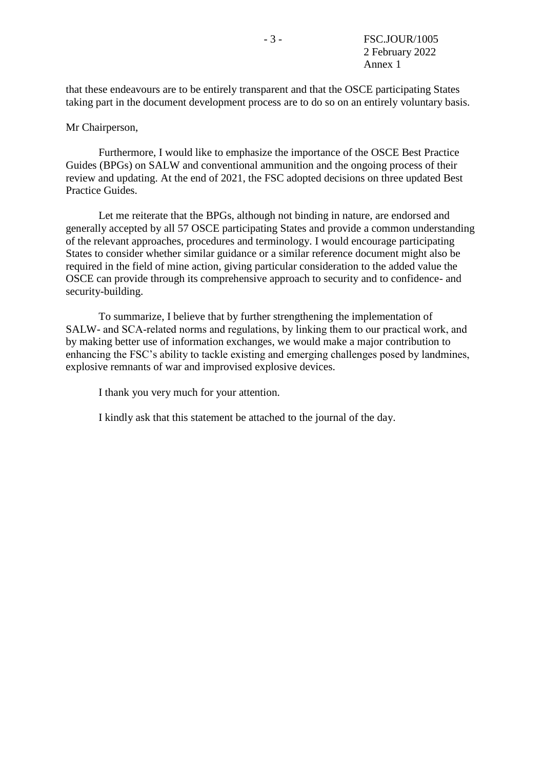that these endeavours are to be entirely transparent and that the OSCE participating States taking part in the document development process are to do so on an entirely voluntary basis.

### Mr Chairperson,

Furthermore, I would like to emphasize the importance of the OSCE Best Practice Guides (BPGs) on SALW and conventional ammunition and the ongoing process of their review and updating. At the end of 2021, the FSC adopted decisions on three updated Best Practice Guides.

Let me reiterate that the BPGs, although not binding in nature, are endorsed and generally accepted by all 57 OSCE participating States and provide a common understanding of the relevant approaches, procedures and terminology. I would encourage participating States to consider whether similar guidance or a similar reference document might also be required in the field of mine action, giving particular consideration to the added value the OSCE can provide through its comprehensive approach to security and to confidence- and security-building.

To summarize, I believe that by further strengthening the implementation of SALW- and SCA-related norms and regulations, by linking them to our practical work, and by making better use of information exchanges, we would make a major contribution to enhancing the FSC's ability to tackle existing and emerging challenges posed by landmines, explosive remnants of war and improvised explosive devices.

I thank you very much for your attention.

I kindly ask that this statement be attached to the journal of the day.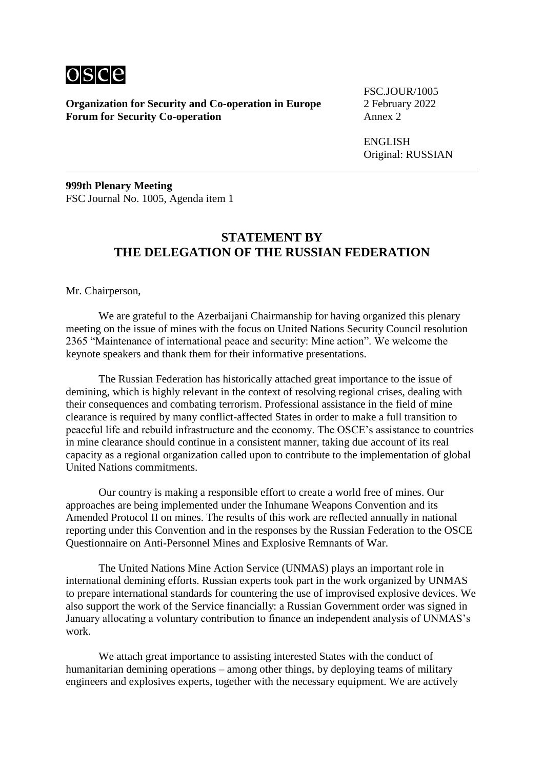

FSC.JOUR/1005

ENGLISH Original: RUSSIAN

**999th Plenary Meeting** FSC Journal No. 1005, Agenda item 1

## **STATEMENT BY THE DELEGATION OF THE RUSSIAN FEDERATION**

Mr. Chairperson,

We are grateful to the Azerbaijani Chairmanship for having organized this plenary meeting on the issue of mines with the focus on United Nations Security Council resolution 2365 "Maintenance of international peace and security: Mine action". We welcome the keynote speakers and thank them for their informative presentations.

The Russian Federation has historically attached great importance to the issue of demining, which is highly relevant in the context of resolving regional crises, dealing with their consequences and combating terrorism. Professional assistance in the field of mine clearance is required by many conflict-affected States in order to make a full transition to peaceful life and rebuild infrastructure and the economy. The OSCE's assistance to countries in mine clearance should continue in a consistent manner, taking due account of its real capacity as a regional organization called upon to contribute to the implementation of global United Nations commitments.

Our country is making a responsible effort to create a world free of mines. Our approaches are being implemented under the Inhumane Weapons Convention and its Amended Protocol II on mines. The results of this work are reflected annually in national reporting under this Convention and in the responses by the Russian Federation to the OSCE Questionnaire on Anti-Personnel Mines and Explosive Remnants of War.

The United Nations Mine Action Service (UNMAS) plays an important role in international demining efforts. Russian experts took part in the work organized by UNMAS to prepare international standards for countering the use of improvised explosive devices. We also support the work of the Service financially: a Russian Government order was signed in January allocating a voluntary contribution to finance an independent analysis of UNMAS's work.

We attach great importance to assisting interested States with the conduct of humanitarian demining operations – among other things, by deploying teams of military engineers and explosives experts, together with the necessary equipment. We are actively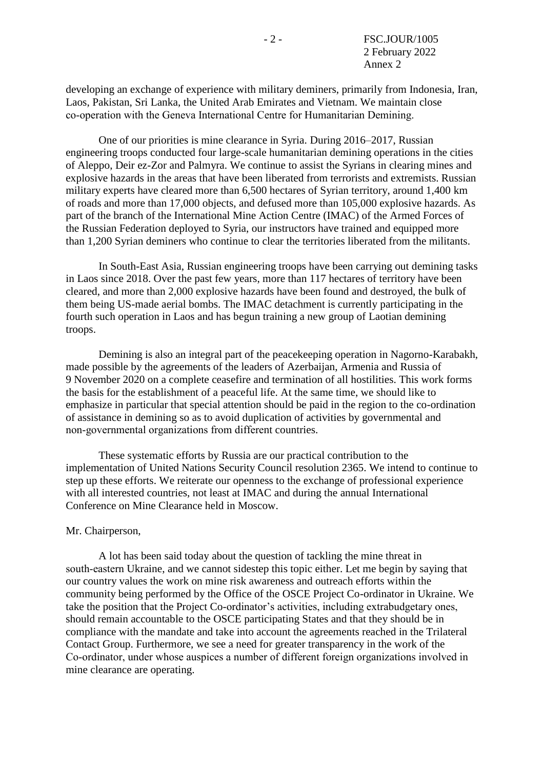developing an exchange of experience with military deminers, primarily from Indonesia, Iran, Laos, Pakistan, Sri Lanka, the United Arab Emirates and Vietnam. We maintain close co-operation with the Geneva International Centre for Humanitarian Demining.

One of our priorities is mine clearance in Syria. During 2016–2017, Russian engineering troops conducted four large-scale humanitarian demining operations in the cities of Aleppo, Deir ez-Zor and Palmyra. We continue to assist the Syrians in clearing mines and explosive hazards in the areas that have been liberated from terrorists and extremists. Russian military experts have cleared more than 6,500 hectares of Syrian territory, around 1,400 km of roads and more than 17,000 objects, and defused more than 105,000 explosive hazards. As part of the branch of the International Mine Action Centre (IMAC) of the Armed Forces of the Russian Federation deployed to Syria, our instructors have trained and equipped more than 1,200 Syrian deminers who continue to clear the territories liberated from the militants.

In South-East Asia, Russian engineering troops have been carrying out demining tasks in Laos since 2018. Over the past few years, more than 117 hectares of territory have been cleared, and more than 2,000 explosive hazards have been found and destroyed, the bulk of them being US-made aerial bombs. The IMAC detachment is currently participating in the fourth such operation in Laos and has begun training a new group of Laotian demining troops.

Demining is also an integral part of the peacekeeping operation in Nagorno-Karabakh, made possible by the agreements of the leaders of Azerbaijan, Armenia and Russia of 9 November 2020 on a complete ceasefire and termination of all hostilities. This work forms the basis for the establishment of a peaceful life. At the same time, we should like to emphasize in particular that special attention should be paid in the region to the co-ordination of assistance in demining so as to avoid duplication of activities by governmental and non‑governmental organizations from different countries.

These systematic efforts by Russia are our practical contribution to the implementation of United Nations Security Council resolution 2365. We intend to continue to step up these efforts. We reiterate our openness to the exchange of professional experience with all interested countries, not least at IMAC and during the annual International Conference on Mine Clearance held in Moscow.

#### Mr. Chairperson,

A lot has been said today about the question of tackling the mine threat in south-eastern Ukraine, and we cannot sidestep this topic either. Let me begin by saying that our country values the work on mine risk awareness and outreach efforts within the community being performed by the Office of the OSCE Project Co-ordinator in Ukraine. We take the position that the Project Co-ordinator's activities, including extrabudgetary ones, should remain accountable to the OSCE participating States and that they should be in compliance with the mandate and take into account the agreements reached in the Trilateral Contact Group. Furthermore, we see a need for greater transparency in the work of the Co‑ordinator, under whose auspices a number of different foreign organizations involved in mine clearance are operating.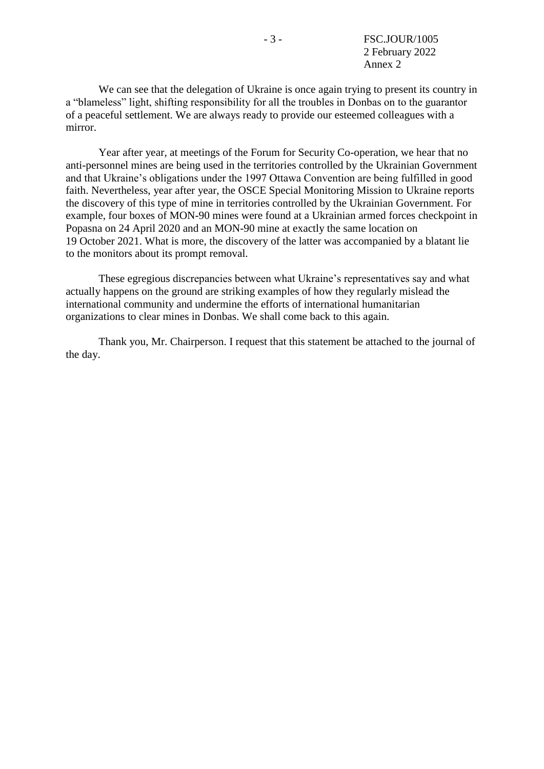We can see that the delegation of Ukraine is once again trying to present its country in a "blameless" light, shifting responsibility for all the troubles in Donbas on to the guarantor of a peaceful settlement. We are always ready to provide our esteemed colleagues with a mirror.

Year after year, at meetings of the Forum for Security Co-operation, we hear that no anti-personnel mines are being used in the territories controlled by the Ukrainian Government and that Ukraine's obligations under the 1997 Ottawa Convention are being fulfilled in good faith. Nevertheless, year after year, the OSCE Special Monitoring Mission to Ukraine reports the discovery of this type of mine in territories controlled by the Ukrainian Government. For example, four boxes of MON-90 mines were found at a Ukrainian armed forces checkpoint in Popasna on 24 April 2020 and an MON-90 mine at exactly the same location on 19 October 2021. What is more, the discovery of the latter was accompanied by a blatant lie to the monitors about its prompt removal.

These egregious discrepancies between what Ukraine's representatives say and what actually happens on the ground are striking examples of how they regularly mislead the international community and undermine the efforts of international humanitarian organizations to clear mines in Donbas. We shall come back to this again.

Thank you, Mr. Chairperson. I request that this statement be attached to the journal of the day.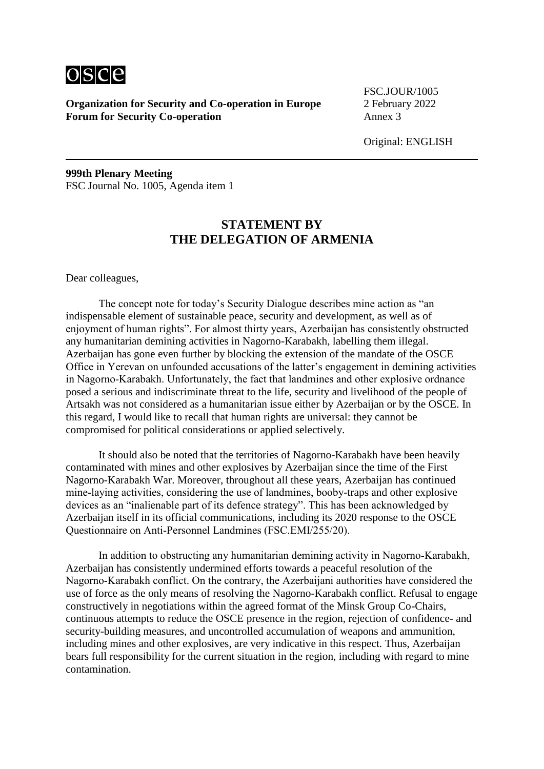

FSC.JOUR/1005

Original: ENGLISH

**999th Plenary Meeting** FSC Journal No. 1005, Agenda item 1

# **STATEMENT BY THE DELEGATION OF ARMENIA**

Dear colleagues,

The concept note for today's Security Dialogue describes mine action as "an indispensable element of sustainable peace, security and development, as well as of enjoyment of human rights". For almost thirty years, Azerbaijan has consistently obstructed any humanitarian demining activities in Nagorno-Karabakh, labelling them illegal. Azerbaijan has gone even further by blocking the extension of the mandate of the OSCE Office in Yerevan on unfounded accusations of the latter's engagement in demining activities in Nagorno‑Karabakh. Unfortunately, the fact that landmines and other explosive ordnance posed a serious and indiscriminate threat to the life, security and livelihood of the people of Artsakh was not considered as a humanitarian issue either by Azerbaijan or by the OSCE. In this regard, I would like to recall that human rights are universal: they cannot be compromised for political considerations or applied selectively.

It should also be noted that the territories of Nagorno-Karabakh have been heavily contaminated with mines and other explosives by Azerbaijan since the time of the First Nagorno-Karabakh War. Moreover, throughout all these years, Azerbaijan has continued mine‑laying activities, considering the use of landmines, booby-traps and other explosive devices as an "inalienable part of its defence strategy". This has been acknowledged by Azerbaijan itself in its official communications, including its 2020 response to the OSCE Questionnaire on Anti‑Personnel Landmines (FSC.EMI/255/20).

In addition to obstructing any humanitarian demining activity in Nagorno‑Karabakh, Azerbaijan has consistently undermined efforts towards a peaceful resolution of the Nagorno‑Karabakh conflict. On the contrary, the Azerbaijani authorities have considered the use of force as the only means of resolving the Nagorno-Karabakh conflict. Refusal to engage constructively in negotiations within the agreed format of the Minsk Group Co-Chairs, continuous attempts to reduce the OSCE presence in the region, rejection of confidence- and security-building measures, and uncontrolled accumulation of weapons and ammunition, including mines and other explosives, are very indicative in this respect. Thus, Azerbaijan bears full responsibility for the current situation in the region, including with regard to mine contamination.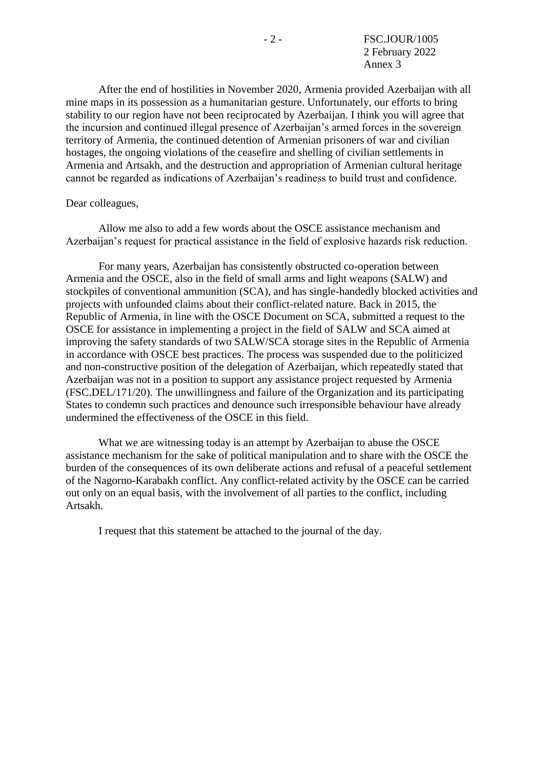After the end of hostilities in November 2020, Armenia provided Azerbaijan with all mine maps in its possession as a humanitarian gesture. Unfortunately, our efforts to bring stability to our region have not been reciprocated by Azerbaijan. I think you will agree that the incursion and continued illegal presence of Azerbaijan's armed forces in the sovereign territory of Armenia, the continued detention of Armenian prisoners of war and civilian hostages, the ongoing violations of the ceasefire and shelling of civilian settlements in Armenia and Artsakh, and the destruction and appropriation of Armenian cultural heritage cannot be regarded as indications of Azerbaijan's readiness to build trust and confidence.

#### Dear colleagues,

Allow me also to add a few words about the OSCE assistance mechanism and Azerbaijan's request for practical assistance in the field of explosive hazards risk reduction.

For many years, Azerbaijan has consistently obstructed co-operation between Armenia and the OSCE, also in the field of small arms and light weapons (SALW) and stockpiles of conventional ammunition (SCA), and has single-handedly blocked activities and projects with unfounded claims about their conflict-related nature. Back in 2015, the Republic of Armenia, in line with the OSCE Document on SCA, submitted a request to the OSCE for assistance in implementing a project in the field of SALW and SCA aimed at improving the safety standards of two SALW/SCA storage sites in the Republic of Armenia in accordance with OSCE best practices. The process was suspended due to the politicized and non-constructive position of the delegation of Azerbaijan, which repeatedly stated that Azerbaijan was not in a position to support any assistance project requested by Armenia (FSC.DEL/171/20). The unwillingness and failure of the Organization and its participating States to condemn such practices and denounce such irresponsible behaviour have already undermined the effectiveness of the OSCE in this field.

What we are witnessing today is an attempt by Azerbaijan to abuse the OSCE assistance mechanism for the sake of political manipulation and to share with the OSCE the burden of the consequences of its own deliberate actions and refusal of a peaceful settlement of the Nagorno-Karabakh conflict. Any conflict-related activity by the OSCE can be carried out only on an equal basis, with the involvement of all parties to the conflict, including Artsakh.

I request that this statement be attached to the journal of the day.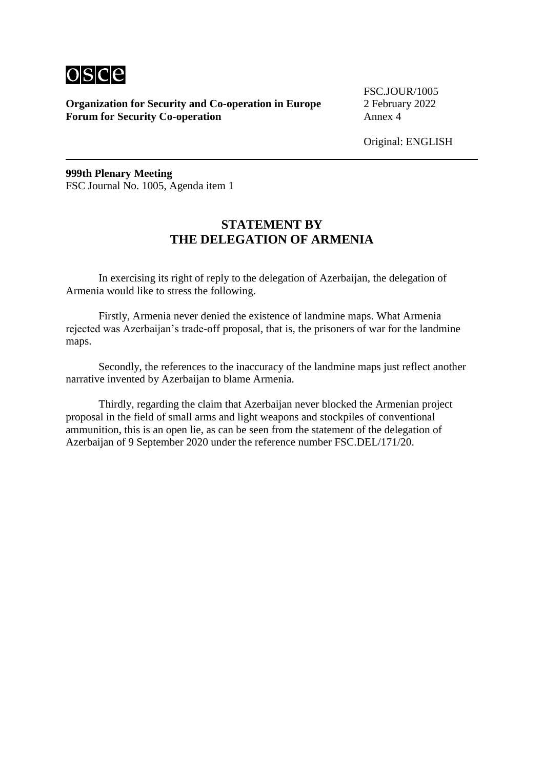

FSC.JOUR/1005

Original: ENGLISH

**999th Plenary Meeting** FSC Journal No. 1005, Agenda item 1

## **STATEMENT BY THE DELEGATION OF ARMENIA**

In exercising its right of reply to the delegation of Azerbaijan, the delegation of Armenia would like to stress the following.

Firstly, Armenia never denied the existence of landmine maps. What Armenia rejected was Azerbaijan's trade-off proposal, that is, the prisoners of war for the landmine maps.

Secondly, the references to the inaccuracy of the landmine maps just reflect another narrative invented by Azerbaijan to blame Armenia.

Thirdly, regarding the claim that Azerbaijan never blocked the Armenian project proposal in the field of small arms and light weapons and stockpiles of conventional ammunition, this is an open lie, as can be seen from the statement of the delegation of Azerbaijan of 9 September 2020 under the reference number FSC.DEL/171/20.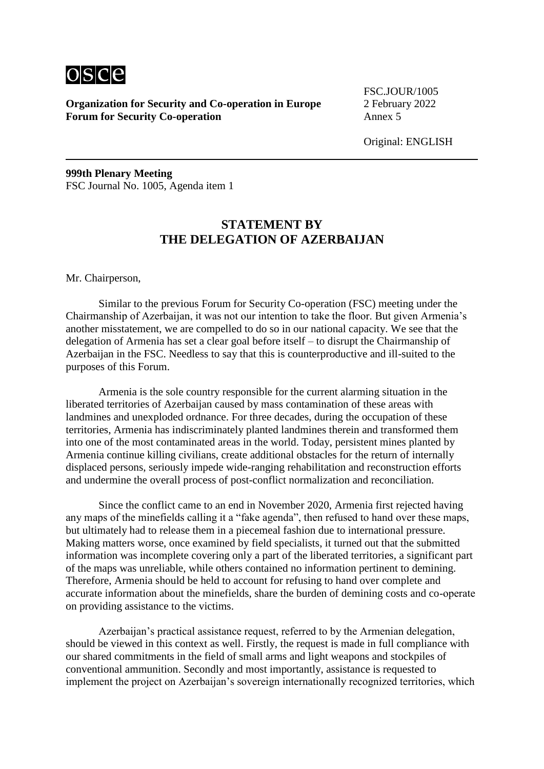

FSC.JOUR/1005

Original: ENGLISH

**999th Plenary Meeting** FSC Journal No. 1005, Agenda item 1

# **STATEMENT BY THE DELEGATION OF AZERBAIJAN**

Mr. Chairperson,

Similar to the previous Forum for Security Co-operation (FSC) meeting under the Chairmanship of Azerbaijan, it was not our intention to take the floor. But given Armenia's another misstatement, we are compelled to do so in our national capacity. We see that the delegation of Armenia has set a clear goal before itself – to disrupt the Chairmanship of Azerbaijan in the FSC. Needless to say that this is counterproductive and ill-suited to the purposes of this Forum.

Armenia is the sole country responsible for the current alarming situation in the liberated territories of Azerbaijan caused by mass contamination of these areas with landmines and unexploded ordnance. For three decades, during the occupation of these territories, Armenia has indiscriminately planted landmines therein and transformed them into one of the most contaminated areas in the world. Today, persistent mines planted by Armenia continue killing civilians, create additional obstacles for the return of internally displaced persons, seriously impede wide-ranging rehabilitation and reconstruction efforts and undermine the overall process of post-conflict normalization and reconciliation.

Since the conflict came to an end in November 2020, Armenia first rejected having any maps of the minefields calling it a "fake agenda", then refused to hand over these maps, but ultimately had to release them in a piecemeal fashion due to international pressure. Making matters worse, once examined by field specialists, it turned out that the submitted information was incomplete covering only a part of the liberated territories, a significant part of the maps was unreliable, while others contained no information pertinent to demining. Therefore, Armenia should be held to account for refusing to hand over complete and accurate information about the minefields, share the burden of demining costs and co-operate on providing assistance to the victims.

Azerbaijan's practical assistance request, referred to by the Armenian delegation, should be viewed in this context as well. Firstly, the request is made in full compliance with our shared commitments in the field of small arms and light weapons and stockpiles of conventional ammunition. Secondly and most importantly, assistance is requested to implement the project on Azerbaijan's sovereign internationally recognized territories, which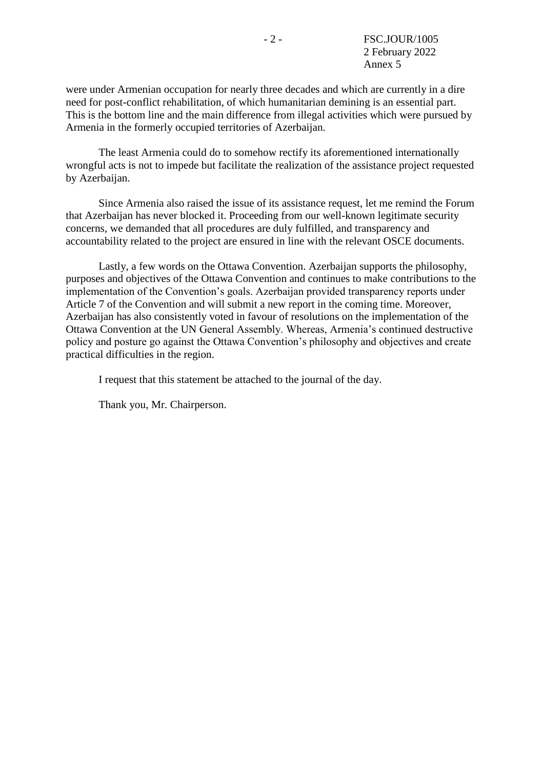were under Armenian occupation for nearly three decades and which are currently in a dire need for post-conflict rehabilitation, of which humanitarian demining is an essential part. This is the bottom line and the main difference from illegal activities which were pursued by Armenia in the formerly occupied territories of Azerbaijan.

The least Armenia could do to somehow rectify its aforementioned internationally wrongful acts is not to impede but facilitate the realization of the assistance project requested by Azerbaijan.

Since Armenia also raised the issue of its assistance request, let me remind the Forum that Azerbaijan has never blocked it. Proceeding from our well-known legitimate security concerns, we demanded that all procedures are duly fulfilled, and transparency and accountability related to the project are ensured in line with the relevant OSCE documents.

Lastly, a few words on the Ottawa Convention. Azerbaijan supports the philosophy, purposes and objectives of the Ottawa Convention and continues to make contributions to the implementation of the Convention's goals. Azerbaijan provided transparency reports under Article 7 of the Convention and will submit a new report in the coming time. Moreover, Azerbaijan has also consistently voted in favour of resolutions on the implementation of the Ottawa Convention at the UN General Assembly. Whereas, Armenia's continued destructive policy and posture go against the Ottawa Convention's philosophy and objectives and create practical difficulties in the region.

I request that this statement be attached to the journal of the day.

Thank you, Mr. Chairperson.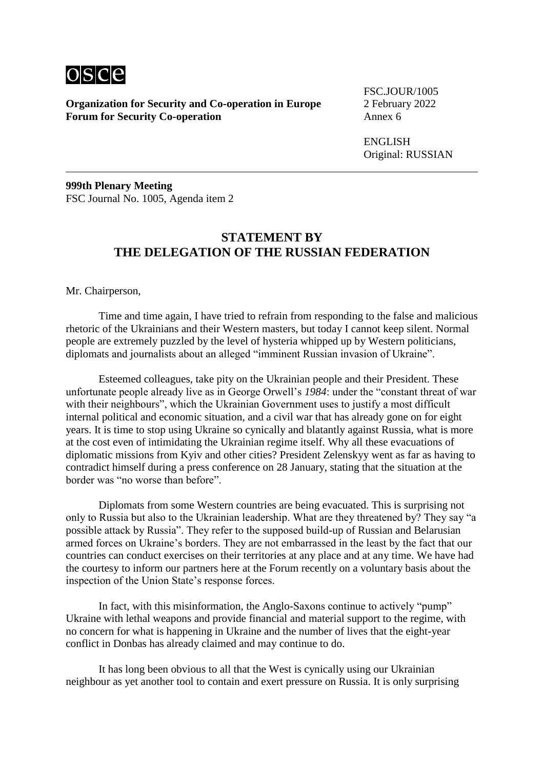

FSC.JOUR/1005

ENGLISH Original: RUSSIAN

**999th Plenary Meeting** FSC Journal No. 1005, Agenda item 2

### **STATEMENT BY THE DELEGATION OF THE RUSSIAN FEDERATION**

Mr. Chairperson,

Time and time again, I have tried to refrain from responding to the false and malicious rhetoric of the Ukrainians and their Western masters, but today I cannot keep silent. Normal people are extremely puzzled by the level of hysteria whipped up by Western politicians, diplomats and journalists about an alleged "imminent Russian invasion of Ukraine".

Esteemed colleagues, take pity on the Ukrainian people and their President. These unfortunate people already live as in George Orwell's *1984*: under the "constant threat of war with their neighbours", which the Ukrainian Government uses to justify a most difficult internal political and economic situation, and a civil war that has already gone on for eight years. It is time to stop using Ukraine so cynically and blatantly against Russia, what is more at the cost even of intimidating the Ukrainian regime itself. Why all these evacuations of diplomatic missions from Kyiv and other cities? President Zelenskyy went as far as having to contradict himself during a press conference on 28 January, stating that the situation at the border was "no worse than before".

Diplomats from some Western countries are being evacuated. This is surprising not only to Russia but also to the Ukrainian leadership. What are they threatened by? They say "a possible attack by Russia". They refer to the supposed build-up of Russian and Belarusian armed forces on Ukraine's borders. They are not embarrassed in the least by the fact that our countries can conduct exercises on their territories at any place and at any time. We have had the courtesy to inform our partners here at the Forum recently on a voluntary basis about the inspection of the Union State's response forces.

In fact, with this misinformation, the Anglo-Saxons continue to actively "pump" Ukraine with lethal weapons and provide financial and material support to the regime, with no concern for what is happening in Ukraine and the number of lives that the eight-year conflict in Donbas has already claimed and may continue to do.

It has long been obvious to all that the West is cynically using our Ukrainian neighbour as yet another tool to contain and exert pressure on Russia. It is only surprising